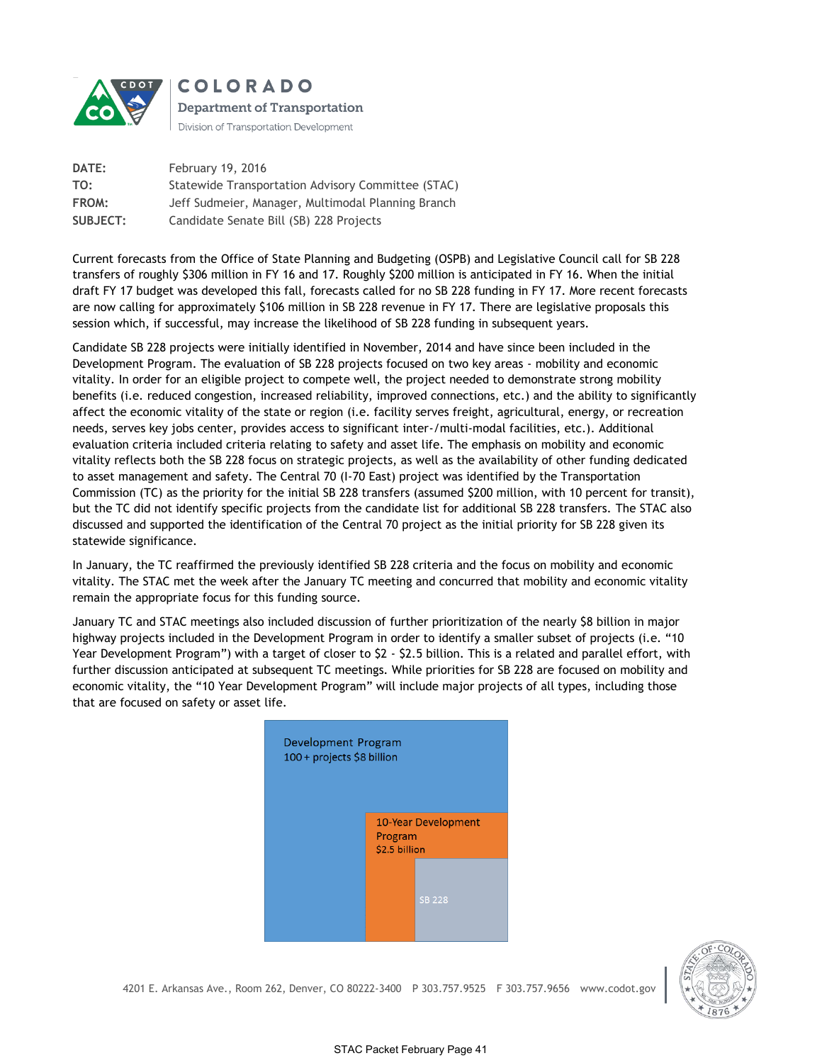

**COLORADO Department of Transportation** Division of Transportation Development

**DATE:** February 19, 2016 **TO:** Statewide Transportation Advisory Committee (STAC) **FROM:** Jeff Sudmeier, Manager, Multimodal Planning Branch **SUBJECT:** Candidate Senate Bill (SB) 228 Projects

Current forecasts from the Office of State Planning and Budgeting (OSPB) and Legislative Council call for SB 228 transfers of roughly \$306 million in FY 16 and 17. Roughly \$200 million is anticipated in FY 16. When the initial draft FY 17 budget was developed this fall, forecasts called for no SB 228 funding in FY 17. More recent forecasts are now calling for approximately \$106 million in SB 228 revenue in FY 17. There are legislative proposals this session which, if successful, may increase the likelihood of SB 228 funding in subsequent years.

Candidate SB 228 projects were initially identified in November, 2014 and have since been included in the Development Program. The evaluation of SB 228 projects focused on two key areas - mobility and economic vitality. In order for an eligible project to compete well, the project needed to demonstrate strong mobility benefits (i.e. reduced congestion, increased reliability, improved connections, etc.) and the ability to significantly affect the economic vitality of the state or region (i.e. facility serves freight, agricultural, energy, or recreation needs, serves key jobs center, provides access to significant inter-/multi-modal facilities, etc.). Additional evaluation criteria included criteria relating to safety and asset life. The emphasis on mobility and economic vitality reflects both the SB 228 focus on strategic projects, as well as the availability of other funding dedicated to asset management and safety. The Central 70 (I-70 East) project was identified by the Transportation Commission (TC) as the priority for the initial SB 228 transfers (assumed \$200 million, with 10 percent for transit), but the TC did not identify specific projects from the candidate list for additional SB 228 transfers. The STAC also discussed and supported the identification of the Central 70 project as the initial priority for SB 228 given its statewide significance.

In January, the TC reaffirmed the previously identified SB 228 criteria and the focus on mobility and economic vitality. The STAC met the week after the January TC meeting and concurred that mobility and economic vitality remain the appropriate focus for this funding source.

January TC and STAC meetings also included discussion of further prioritization of the nearly \$8 billion in major highway projects included in the Development Program in order to identify a smaller subset of projects (i.e. "10 Year Development Program") with a target of closer to \$2 - \$2.5 billion. This is a related and parallel effort, with further discussion anticipated at subsequent TC meetings. While priorities for SB 228 are focused on mobility and economic vitality, the "10 Year Development Program" will include major projects of all types, including those that are focused on safety or asset life.





4201 E. Arkansas Ave., Room 262, Denver, CO 80222-3400 P 303.757.9525 F 303.757.9656 www.codot.gov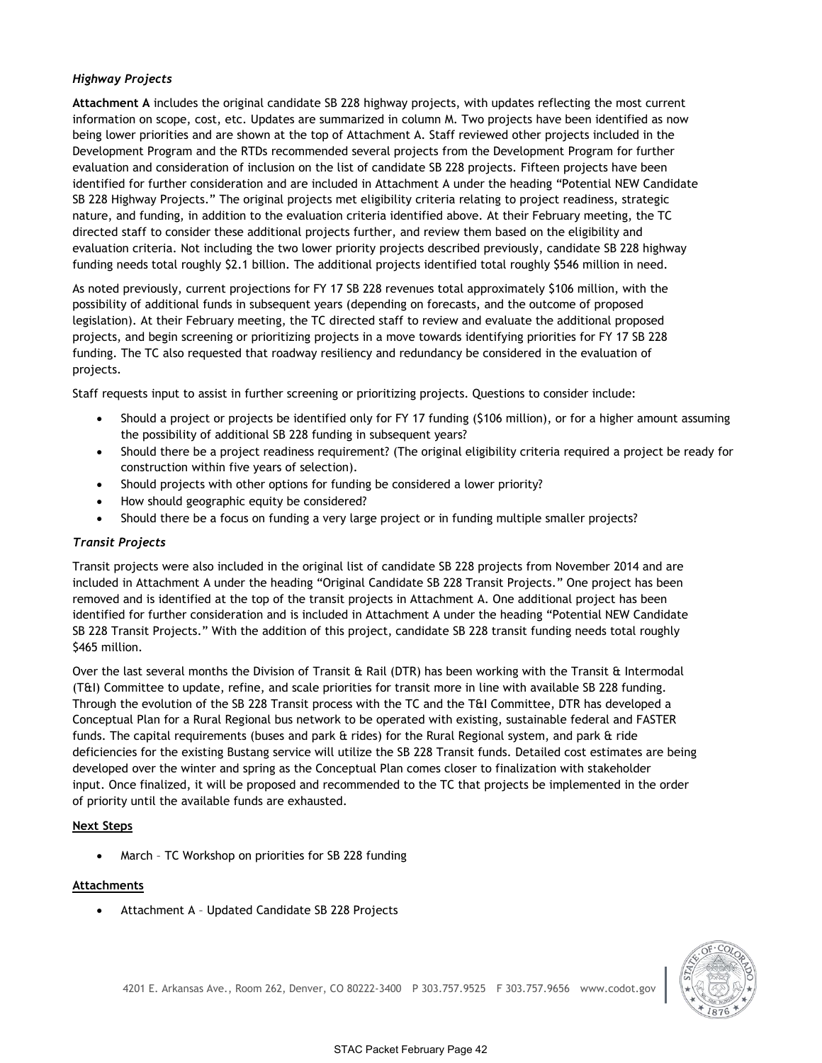## *Highway Projects*

**Attachment A** includes the original candidate SB 228 highway projects, with updates reflecting the most current information on scope, cost, etc. Updates are summarized in column M. Two projects have been identified as now being lower priorities and are shown at the top of Attachment A. Staff reviewed other projects included in the Development Program and the RTDs recommended several projects from the Development Program for further evaluation and consideration of inclusion on the list of candidate SB 228 projects. Fifteen projects have been identified for further consideration and are included in Attachment A under the heading "Potential NEW Candidate SB 228 Highway Projects." The original projects met eligibility criteria relating to project readiness, strategic nature, and funding, in addition to the evaluation criteria identified above. At their February meeting, the TC directed staff to consider these additional projects further, and review them based on the eligibility and evaluation criteria. Not including the two lower priority projects described previously, candidate SB 228 highway funding needs total roughly \$2.1 billion. The additional projects identified total roughly \$546 million in need.

As noted previously, current projections for FY 17 SB 228 revenues total approximately \$106 million, with the possibility of additional funds in subsequent years (depending on forecasts, and the outcome of proposed legislation). At their February meeting, the TC directed staff to review and evaluate the additional proposed projects, and begin screening or prioritizing projects in a move towards identifying priorities for FY 17 SB 228 funding. The TC also requested that roadway resiliency and redundancy be considered in the evaluation of projects.

Staff requests input to assist in further screening or prioritizing projects. Questions to consider include:

- Should a project or projects be identified only for FY 17 funding (\$106 million), or for a higher amount assuming the possibility of additional SB 228 funding in subsequent years?
- Should there be a project readiness requirement? (The original eligibility criteria required a project be ready for construction within five years of selection).
- Should projects with other options for funding be considered a lower priority?
- How should geographic equity be considered?
- Should there be a focus on funding a very large project or in funding multiple smaller projects?

# *Transit Projects*

Transit projects were also included in the original list of candidate SB 228 projects from November 2014 and are included in Attachment A under the heading "Original Candidate SB 228 Transit Projects." One project has been removed and is identified at the top of the transit projects in Attachment A. One additional project has been identified for further consideration and is included in Attachment A under the heading "Potential NEW Candidate SB 228 Transit Projects." With the addition of this project, candidate SB 228 transit funding needs total roughly \$465 million.

Over the last several months the Division of Transit & Rail (DTR) has been working with the Transit & Intermodal (T&I) Committee to update, refine, and scale priorities for transit more in line with available SB 228 funding. Through the evolution of the SB 228 Transit process with the TC and the T&I Committee, DTR has developed a Conceptual Plan for a Rural Regional bus network to be operated with existing, sustainable federal and FASTER funds. The capital requirements (buses and park & rides) for the Rural Regional system, and park & ride deficiencies for the existing Bustang service will utilize the SB 228 Transit funds. Detailed cost estimates are being developed over the winter and spring as the Conceptual Plan comes closer to finalization with stakeholder input. Once finalized, it will be proposed and recommended to the TC that projects be implemented in the order of priority until the available funds are exhausted.

## **Next Steps**

March – TC Workshop on priorities for SB 228 funding

## **Attachments**

Attachment A – Updated Candidate SB 228 Projects

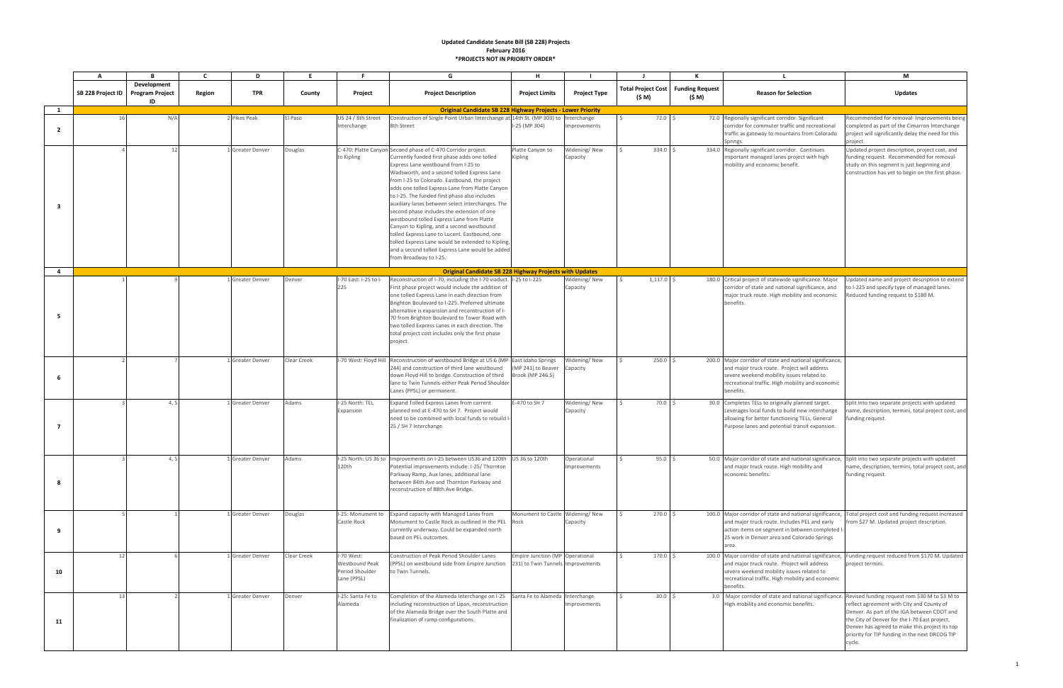|                | A                 |                                             | C      | D                | E           |                                                                       | G                                                                                                                                                                                                                                                                                                                                                                                                                                                                                                                                                                                                                                                                                                                                      | н                                                                    |                            |                              |                                  |                                                                                                                                                                                                                                                              | M                                                                                                                                                                                                                                                                                                         |
|----------------|-------------------|---------------------------------------------|--------|------------------|-------------|-----------------------------------------------------------------------|----------------------------------------------------------------------------------------------------------------------------------------------------------------------------------------------------------------------------------------------------------------------------------------------------------------------------------------------------------------------------------------------------------------------------------------------------------------------------------------------------------------------------------------------------------------------------------------------------------------------------------------------------------------------------------------------------------------------------------------|----------------------------------------------------------------------|----------------------------|------------------------------|----------------------------------|--------------------------------------------------------------------------------------------------------------------------------------------------------------------------------------------------------------------------------------------------------------|-----------------------------------------------------------------------------------------------------------------------------------------------------------------------------------------------------------------------------------------------------------------------------------------------------------|
|                | SB 228 Project ID | Development<br><b>Program Project</b><br>ID | Region | <b>TPR</b>       | County      | Project                                                               | <b>Project Description</b>                                                                                                                                                                                                                                                                                                                                                                                                                                                                                                                                                                                                                                                                                                             | <b>Project Limits</b>                                                | <b>Project Type</b>        | Total Project Cost<br>(\$ M) | <b>Funding Request</b><br>(\$ M) | <b>Reason for Selection</b>                                                                                                                                                                                                                                  | <b>Updates</b>                                                                                                                                                                                                                                                                                            |
| 1              |                   |                                             |        |                  |             |                                                                       | <b>Original Candidate SB 228 Highway Projects - Lower Priority</b>                                                                                                                                                                                                                                                                                                                                                                                                                                                                                                                                                                                                                                                                     |                                                                      |                            |                              |                                  |                                                                                                                                                                                                                                                              |                                                                                                                                                                                                                                                                                                           |
| $\overline{2}$ |                   | N/F                                         |        | 2 Pikes Peak     | El Paso     | US 24 / 8th Street<br>Interchange                                     | Construction of Single Point Urban Interchange at 14th St. (MP 303) to Interchange<br>8th Street                                                                                                                                                                                                                                                                                                                                                                                                                                                                                                                                                                                                                                       | I-25 (MP 304)                                                        | mprovements                |                              | 72.0                             | 72.0 Regionally significant corridor. Significant<br>corridor for commuter traffic and recreational<br>traffic as gateway to mountains from Colorado<br>Springs.                                                                                             | Recommended for removal- Improvements being<br>completed as part of the Cimarron Interchange<br>project will significantly delay the need for this<br>project.                                                                                                                                            |
| - 3            |                   | 12                                          |        | L Greater Denver | Douglas     | to Kipling                                                            | C-470: Platte Canyon Second phase of C-470 Corridor project.<br>Currently funded first phase adds one tolled<br>Express Lane westbound from I-25 to<br>Wadsworth, and a second tolled Express Lane<br>from I-25 to Colorado. Eastbound, the project<br>adds one tolled Express Lane from Platte Canyon<br>to I-25. The funded first phase also includes<br>auxiliary lanes between select interchanges. The<br>second phase includes the extension of one<br>westbound tolled Express Lane from Platte<br>Canyon to Kipling, and a second westbound<br>tolled Express Lane to Lucent. Eastbound, one<br>tolled Express Lane would be extended to Kipling,<br>and a second tolled Express Lane would be added<br>from Broadway to I-25. | Platte Canyon to<br>Kipling                                          | Widening/New<br>Capacity   |                              | $334.0$ \$                       | 334.0 Regionally significant corridor. Continues<br>important managed lanes project with high<br>mobility and economic benefit.                                                                                                                              | Updated project description, project cost, and<br>funding request. Recommended for removal-<br>study on this segment is just beginning and<br>construction has yet to begin on the first phase.                                                                                                           |
| $\overline{4}$ |                   |                                             |        |                  |             |                                                                       | <b>Original Candidate SB 228 Highway Projects with Updates</b>                                                                                                                                                                                                                                                                                                                                                                                                                                                                                                                                                                                                                                                                         |                                                                      |                            |                              |                                  |                                                                                                                                                                                                                                                              |                                                                                                                                                                                                                                                                                                           |
| -5             |                   |                                             |        | 1 Greater Denver | Denver      | I-70 East: I-25 to I-<br>225                                          | Reconstruction of I-70, including the I-70 viaduct. I-25 to I-225<br>First phase project would include the addition of<br>one tolled Express Lane in each direction from<br>Brighton Boulevard to I-225. Preferred ultimate<br>alternative is expansion and reconstruction of I-<br>70 from Brighton Boulevard to Tower Road with<br>two tolled Express Lanes in each direction. The<br>total project cost includes only the first phase<br>project.                                                                                                                                                                                                                                                                                   |                                                                      | Widening/New<br>Capacity   |                              | $1,117.0$ \$                     | 180.0 Critical project of statewide significance. Major<br>corridor of state and national significance, and<br>major truck route. High mobility and economic<br>benefits.                                                                                    | Updated name and project description to extend<br>to I-225 and specify type of managed lanes.<br>Reduced funding request to \$180 M.                                                                                                                                                                      |
| 6              |                   |                                             |        | 1 Greater Denver | Clear Creek |                                                                       | I-70 West: Floyd Hill Reconstruction of westbound Bridge at US 6 (MP East Idaho Springs<br>244) and construction of third lane westbound<br>down Floyd Hill to bridge. Construction of third<br>lane to Twin Tunnels-either Peak Period Shoulder<br>Lanes (PPSL) or permanent.                                                                                                                                                                                                                                                                                                                                                                                                                                                         | (MP 241) to Beaver<br>Brook (MP 246.5)                               | Nidening/New<br>Capacity   |                              | $250.0$ \$                       | 200.0 Major corridor of state and national significance,<br>and major truck route. Project will address<br>severe weekend mobility issues related to<br>recreational traffic. High mobility and economic<br>benefits.                                        |                                                                                                                                                                                                                                                                                                           |
| $\overline{7}$ |                   | 4,5                                         |        | 1 Greater Denver | Adams       | I-25 North: TEL<br>Expansion                                          | Expand Tolled Express Lanes from current<br>planned end at E-470 to SH 7. Project would<br>need to be combined with local funds to rebuild I<br>25 / SH 7 Interchange.                                                                                                                                                                                                                                                                                                                                                                                                                                                                                                                                                                 | E-470 to SH 7                                                        | Widening/New<br>Capacity   |                              | $70.0$ \$                        | 30.0 Completes TELs to originally planned target.<br>Leverages local funds to build new interchange<br>allowing for better functioning TELs, General<br>Purpose lanes and potential transit expansion.                                                       | Split into two separate projects with updated<br>ame, description, termini, total project cost, and<br>funding request.                                                                                                                                                                                   |
| 8              |                   |                                             |        | 1 Greater Denver | Adams       | 120th                                                                 | I-25 North: US 36 to Improvements on I-25 between US36 and 120th US 36 to 120th<br>Potential improvements include: I-25/ Thornton<br>Parkway Ramp, Aux lanes, additional lane<br>between 84th Ave and Thornton Parkway and<br>reconstruction of 88th Ave Bridge.                                                                                                                                                                                                                                                                                                                                                                                                                                                                       |                                                                      | Operational<br>mprovements |                              | 95.0%                            | 50.0 Major corridor of state and national significance, Split into two separate projects with updated<br>and major truck route. High mobility and<br>economic benefits.                                                                                      | name, description, termini, total project cost, and<br>funding request.                                                                                                                                                                                                                                   |
| -9             |                   |                                             |        | L Greater Denver | Douglas     | I-25: Monument to<br>Castle Rock                                      | Expand capacity with Managed Lanes from<br>Monument to Castle Rock as outlined in the PEL Rock<br>currently underway. Could be expanded north<br>based on PEL outcomes.                                                                                                                                                                                                                                                                                                                                                                                                                                                                                                                                                                | Monument to Castle Widening/New                                      | Capacity                   |                              | $270.0$ \$                       | 100.0 Major corridor of state and national significance, Total project cost and funding request increased<br>and major truck route. Includes PEL and early<br>action items on segment in between completed I-<br>25 work in Denver area and Colorado Springs | from \$27 M. Updated project description.                                                                                                                                                                                                                                                                 |
| 10             | 12                |                                             |        | 1 Greater Denver | Clear Creek | I-70 West:<br><b>Westbound Peak</b><br>Period Shoulder<br>Lane (PPSL) | Construction of Peak Period Shoulder Lanes<br>(PPSL) on westbound side from Empire Junction<br>to Twin Tunnels.                                                                                                                                                                                                                                                                                                                                                                                                                                                                                                                                                                                                                        | Empire Junction (MP Operational<br>231) to Twin Tunnels Improvements |                            |                              | $170.0$ \$                       | 100.0 Major corridor of state and national significance,<br>and major truck route. Project will address<br>severe weekend mobility issues related to<br>recreational traffic. High mobility and economic<br>benefits.                                        | Funding request reduced from \$170 M. Updated<br>project termini.                                                                                                                                                                                                                                         |
| 11             | 13                |                                             |        | Greater Denver   | Denver      | I-25: Santa Fe to<br>Alameda                                          | Completion of the Alameda Interchange on I-25 Santa Fe to Alameda Interchange<br>including reconstruction of Lipan, reconstruction<br>of the Alameda Bridge over the South Platte and<br>finalization of ramp configurations.                                                                                                                                                                                                                                                                                                                                                                                                                                                                                                          |                                                                      | nprovements                |                              | 30.0%                            | 3.0 Major corridor of state and national significance.<br>High mobility and economic benefits.                                                                                                                                                               | Revised funding request rom \$30 M to \$3 M to<br>reflect agreement with City and County of<br>Denver. As part of the IGA between CDOT and<br>the City of Denver for the I-70 East project,<br>Denver has agreed to make this project its top<br>priority for TIP funding in the next DRCOG TIP<br>cycle. |

### **Updated Candidate Senate Bill (SB 228) Projects February 2016 \*PROJECTS NOT IN PRIORITY ORDER\***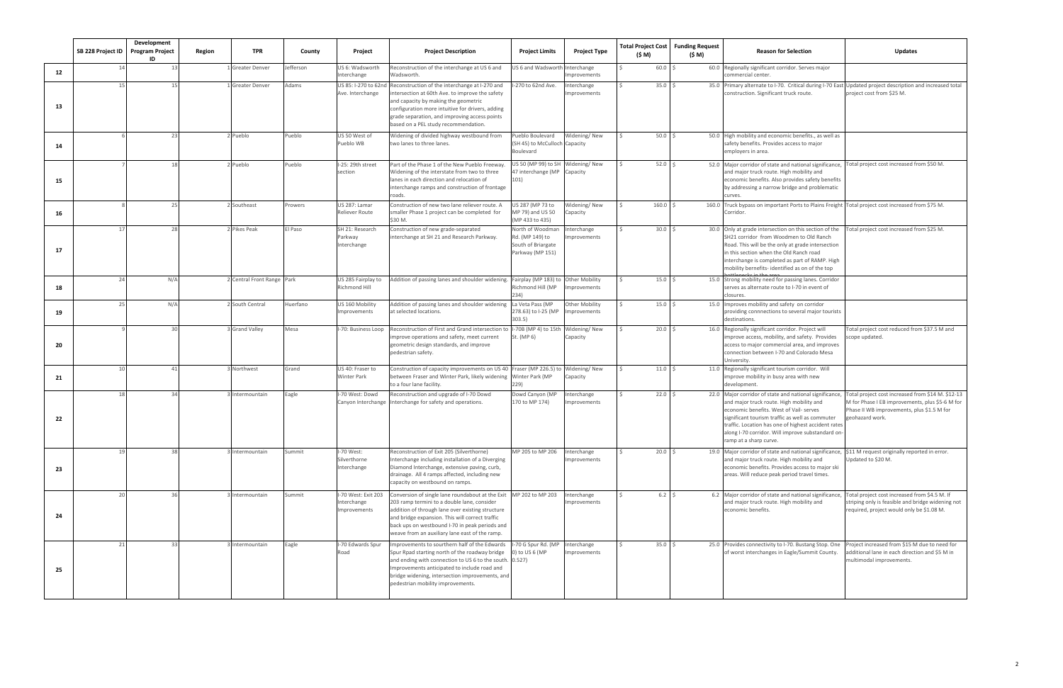|    | SB 228 Project ID | Development<br><b>Program Project</b><br>ID | Region | <b>TPR</b>                 | County    | Project                                            | <b>Project Description</b>                                                                                                                                                                                                                                                                                                  | <b>Project Limits</b>                                                         | <b>Project Type</b>                  | <b>Total Project Cost</b><br>(\$ M) | <b>Funding Request</b><br>(\$ M) | <b>Reason for Selection</b>                                                                                                                                                                                                                                                                                                                      | <b>Updates</b>                                                                                                                                                        |
|----|-------------------|---------------------------------------------|--------|----------------------------|-----------|----------------------------------------------------|-----------------------------------------------------------------------------------------------------------------------------------------------------------------------------------------------------------------------------------------------------------------------------------------------------------------------------|-------------------------------------------------------------------------------|--------------------------------------|-------------------------------------|----------------------------------|--------------------------------------------------------------------------------------------------------------------------------------------------------------------------------------------------------------------------------------------------------------------------------------------------------------------------------------------------|-----------------------------------------------------------------------------------------------------------------------------------------------------------------------|
| 12 | 14                |                                             |        | L Greater Denver           | Jefferson | US 6: Wadsworth<br>Interchange                     | Reconstruction of the interchange at US 6 and<br>Wadsworth.                                                                                                                                                                                                                                                                 | US 6 and Wadsworth                                                            | Interchange<br>mprovements           | $60.0$ \$                           |                                  | 60.0 Regionally significant corridor. Serves major<br>ommercial center.                                                                                                                                                                                                                                                                          |                                                                                                                                                                       |
| 13 |                   |                                             |        | Greater Denver             | Adams     | US 85: I-270 to 62nd<br>Ave. Interchange           | Reconstruction of the interchange at I-270 and<br>ntersection at 60th Ave. to improve the safety<br>and capacity by making the geometric<br>configuration more intuitive for drivers, adding<br>grade separation, and improving access points<br>based on a PEL study recommendation.                                       | -270 to 62nd Ave.                                                             | nterchange<br>mprovements            | 35.0%                               |                                  | 35.0 Primary alternate to I-70. Critical during I-70 East Updated project description and increased total<br>construction. Significant truck route.                                                                                                                                                                                              | project cost from \$25 M.                                                                                                                                             |
| 14 |                   |                                             |        | Pueblo                     | Pueblo    | US 50 West of<br>Pueblo WB                         | Widening of divided highway westbound from<br>two lanes to three lanes.                                                                                                                                                                                                                                                     | ueblo Boulevard<br>(SH 45) to McCulloch Capacity<br>Boulevard                 | Widening/New                         | $50.0$ \$                           |                                  | 50.0 High mobility and economic benefits., as well as<br>safety benefits. Provides access to major<br>employers in area.                                                                                                                                                                                                                         |                                                                                                                                                                       |
| 15 |                   |                                             |        | Pueblo                     | Pueblo    | I-25: 29th street<br>section                       | Part of the Phase 1 of the New Pueblo Freeway<br>Nidening of the interstate from two to three<br>anes in each direction and relocation of<br>nterchange ramps and construction of frontage<br>oads.                                                                                                                         | US 50 (MP 99) to SH<br>47 interchange (MP<br>101)                             | Widening/New<br>Capacity             | $52.0$ \$                           |                                  | 52.0 Major corridor of state and national significance, Total project cost increased from \$50 M.<br>and major truck route. High mobility and<br>economic benefits. Also provides safety benefits<br>by addressing a narrow bridge and problematic<br>curves.                                                                                    |                                                                                                                                                                       |
| 16 |                   | $\overline{2}$                              |        | Southeast                  | Prowers   | US 287: Lamar<br>Reliever Route                    | Construction of new two lane reliever route. A<br>maller Phase 1 project can be completed for<br>\$30 M.                                                                                                                                                                                                                    | JS 287 (MP 73 to<br>MP 79) and US 50<br>(MP 433 to 435)                       | Nidening/New<br>Capacity             | $160.0$ \$                          |                                  | 160.0 Truck bypass on important Ports to Plains Freight Total project cost increased from \$75 M.<br>Corridor.                                                                                                                                                                                                                                   |                                                                                                                                                                       |
| 17 |                   |                                             |        | Pikes Peak                 | El Paso   | SH 21: Research<br>Parkway<br>Interchange          | Construction of new grade-separated<br>nterchange at SH 21 and Research Parkway.                                                                                                                                                                                                                                            | North of Woodman<br>Rd. (MP 149) to<br>South of Briargate<br>Parkway (MP 151) | nterchange<br>mprovements            | $30.0$ \$                           |                                  | 30.0 Only at grade intersection on this section of the Total project cost increased from \$25 M.<br>SH21 corridor from Woodmen to Old Ranch<br>Road. This will be the only at grade intersection<br>in this section when the Old Ranch road<br>interchange is completed as part of RAMP. High<br>mobility bernefits- identified as on of the top |                                                                                                                                                                       |
| 18 | 24                | N/f                                         |        | 2 Central Front Range Park |           | US 285 Fairplay to<br>Richmond Hill                | Addition of passing lanes and shoulder widening. Fairplay (MP 183) to                                                                                                                                                                                                                                                       | Richmond Hill (MP<br>234)                                                     | <b>Other Mobility</b><br>mprovements | 15.0%                               |                                  | 15.0 Strong mobility need for passing lanes. Corridor<br>serves as alternate route to I-70 in event of<br>closures.                                                                                                                                                                                                                              |                                                                                                                                                                       |
| 19 | 25                | N/f                                         |        | 2 South Central            | Huerfano  | US 160 Mobility<br><b>Improvements</b>             | Addition of passing lanes and shoulder widening<br>at selected locations.                                                                                                                                                                                                                                                   | La Veta Pass (MP<br>278.63) to I-25 (MP<br>303.5                              | Other Mobility<br>nprovements        | 15.0%                               |                                  | 15.0 Improves mobility and safety on corridor<br>providing connnections to several major tourists<br>destinations.                                                                                                                                                                                                                               |                                                                                                                                                                       |
| 20 |                   |                                             |        | <b>Grand Valley</b>        | Mesa      | I-70: Business Loop                                | Reconstruction of First and Grand intersection to<br>mprove operations and safety, meet current<br>geometric design standards, and improve<br>pedestrian safety.                                                                                                                                                            | I-70B (MP 4) to 15th<br>St. (MP 6)                                            | Widening/New<br>Capacity             | $20.0$ \$                           |                                  | 16.0 Regionally significant corridor. Project will<br>mprove access, mobility, and safety. Provides<br>access to major commercial area, and improves<br>connection between I-70 and Colorado Mesa<br>University.                                                                                                                                 | Total project cost reduced from \$37.5 M and<br>scope updated.                                                                                                        |
| 21 | 1 <sup>c</sup>    | $\Delta$                                    |        | Northwest                  | Grand     | US 40: Fraser to<br>Winter Park                    | Construction of capacity improvements on US 40 Fraser (MP 226.5) to Widening/ New<br>between Fraser and Winter Park, likely widening Winter Park (MP<br>to a four lane facility.                                                                                                                                            | 229)                                                                          | Capacity                             | $11.0 \pm 5$                        |                                  | 11.0 Regionally significant tourism corridor. Will<br>improve mobility in busy area with new<br>development.                                                                                                                                                                                                                                     |                                                                                                                                                                       |
| 22 | 18                |                                             |        | Intermountain              | Eagle     | -70 West: Dowd<br>Canyon Interchange               | Reconstruction and upgrade of I-70 Dowd<br>nterchange for safety and operations.                                                                                                                                                                                                                                            | Dowd Canyon (MP<br>170 to MP 174)                                             | <b>nterchange</b><br>mprovements     | 22.0%                               |                                  | 22.0 Major corridor of state and national significance,<br>and major truck route. High mobility and<br>economic benefits. West of Vail- serves<br>significant tourism traffic as well as commuter<br>traffic. Location has one of highest accident rates<br>along I-70 corridor. Will improve substandard on<br>ramp at a sharp curve.           | Total project cost increased from \$14 M. \$12-13<br>M for Phase I EB improvements, plus \$5-6 M for<br>Phase II WB improvements, plus \$1.5 M for<br>geohazard work. |
| 23 | 19                |                                             |        | Intermountain              | Summit    | I-70 West:<br>Silverthorne<br>Interchange          | Reconstruction of Exit 205 (Silverthorne)<br>Interchange including installation of a Diverging<br>Diamond Interchange, extensive paving, curb,<br>drainage. All 4 ramps affected, including new<br>capacity on westbound on ramps.                                                                                          | MP 205 to MP 206                                                              | nterchange<br>mprovements            | 20.0%                               |                                  | 19.0 Major corridor of state and national significance, \$11 M request originally reported in error.<br>and major truck route. High mobility and<br>economic benefits. Provides access to major ski<br>areas. Will reduce peak period travel times.                                                                                              | Updated to \$20 M.                                                                                                                                                    |
| 24 | 20                |                                             |        | Intermountain              | Summit    | I-70 West: Exit 203<br>Interchange<br>Improvements | Conversion of single lane roundabout at the Exit MP 202 to MP 203<br>203 ramp termini to a double lane, consider<br>addition of through lane over existing structure<br>and bridge expansion. This will correct traffic<br>back ups on westbound I-70 in peak periods and<br>weave from an auxiliary lane east of the ramp. |                                                                               | Interchange<br>mprovements           | $6.2 \quad$                         |                                  | 6.2 Major corridor of state and national significance, Total project cost increased from \$4.5 M. If<br>and major truck route. High mobility and<br>economic benefits.                                                                                                                                                                           | striping only is feasible and bridge widening not<br>required, project would only be \$1.08 M.                                                                        |
| 25 | 21                | -33                                         |        | Intermountain              | Eagle     | I-70 Edwards Spur<br>Road                          | mprovements to sourthern half of the Edwards<br>Spur Rpad starting north of the roadway bridge<br>and ending with connection to US 6 to the south. 0.527)<br>mprovements anticipated to include road and<br>bridge widening, intersection improvements, and<br>pedestrian mobility improvements.                            | I-70 G Spur Rd. (MP<br>0) to US 6 (MP                                         | nterchange<br>mprovements            | $35.0$ \$                           |                                  | 25.0 Provides connectivity to I-70. Bustang Stop. One Project increased from \$15 M due to need for<br>of worst interchanges in Eagle/Summit County.                                                                                                                                                                                             | dditional lane in each direction and \$5 M in<br>multimodal improvements.                                                                                             |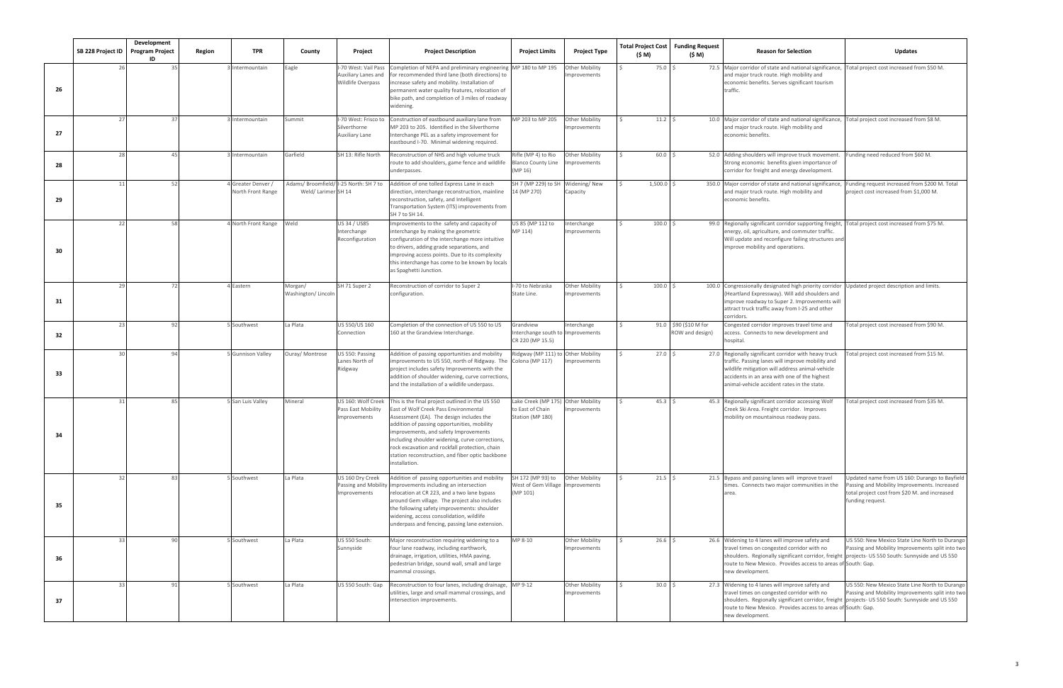|    | SB 228 Project ID | Development<br><b>Program Project</b><br>ID | Region | <b>TPR</b>                            | County                         | Project                                                         | <b>Project Description</b>                                                                                                                                                                                                                                                                                                                                                                            | <b>Project Limits</b>                                                      | <b>Project Type</b>                   | (\$ M)    | <b>Total Project Cost   Funding Request</b><br>(\$ M) | <b>Reason for Selection</b>                                                                                                                                                                                                                                                             | <b>Updates</b>                                                                                                                                                     |
|----|-------------------|---------------------------------------------|--------|---------------------------------------|--------------------------------|-----------------------------------------------------------------|-------------------------------------------------------------------------------------------------------------------------------------------------------------------------------------------------------------------------------------------------------------------------------------------------------------------------------------------------------------------------------------------------------|----------------------------------------------------------------------------|---------------------------------------|-----------|-------------------------------------------------------|-----------------------------------------------------------------------------------------------------------------------------------------------------------------------------------------------------------------------------------------------------------------------------------------|--------------------------------------------------------------------------------------------------------------------------------------------------------------------|
| 26 |                   |                                             |        | Intermountain                         | Eagle                          | -70 West: Vail Pass<br>Auxiliary Lanes and<br>Wildlife Overpass | Completion of NEPA and preliminary engineering MP 180 to MP 195<br>for recommended third lane (both directions) to<br>ncrease safety and mobility. Installation of<br>permanent water quality features, relocation of<br>bike path, and completion of 3 miles of roadway<br>widening.                                                                                                                 |                                                                            | Other Mobility<br>Improvements        | 75.0      |                                                       | 72.5 Major corridor of state and national significance, Total project cost increased from \$50 M.<br>and major truck route. High mobility and<br>economic benefits. Serves significant tourism<br>traffic.                                                                              |                                                                                                                                                                    |
| 27 | 27                | -37                                         |        | Intermountain                         | Summit                         | -70 West: Frisco to<br>Silverthorne<br>Auxiliary Lane           | Construction of eastbound auxiliary lane from<br>MP 203 to 205. Identified in the Silverthorne<br>nterchange PEL as a safety improvement for<br>eastbound I-70. Minimal widening required.                                                                                                                                                                                                            | MP 203 to MP 205                                                           | <b>Other Mobility</b><br>Improvements | $11.2$ \$ |                                                       | 10.0 Major corridor of state and national significance, Total project cost increased from \$8 M.<br>and major truck route. High mobility and<br>economic benefits.                                                                                                                      |                                                                                                                                                                    |
| 28 | 28                |                                             |        | Intermountain                         | Garfield                       | SH 13: Rifle North                                              | Reconstruction of NHS and high volume truck<br>route to add shoulders, game fence and wildlife<br>underpasses.                                                                                                                                                                                                                                                                                        | Rifle (MP 4) to Rio<br><b>Blanco County Line</b><br>(MP 16)                | Other Mobility<br>Improvements        | 60.0      |                                                       | 52.0 Adding shoulders will improve truck movement.<br>Strong economic benefits given importance of<br>corridor for freight and energy development.                                                                                                                                      | Funding need reduced from \$60 M.                                                                                                                                  |
| 29 | 11                | -52                                         |        | Greater Denver /<br>North Front Range | Weld/ Larimer SH 14            | Adams/ Broomfield/ I-25 North: SH 7 to                          | Addition of one tolled Express Lane in each<br>direction, interchange reconstruction, mainline<br>reconstruction, safety, and Intelligent<br>Transportation System (ITS) improvements from<br>SH 7 to SH 14.                                                                                                                                                                                          | SH 7 (MP 229) to SH Widening/ New<br>14 (MP 270)                           | Capacity                              | 1,500.0   |                                                       | 350.0 Major corridor of state and national significance,<br>and major truck route. High mobility and<br>economic benefits.                                                                                                                                                              | Funding request increased from \$200 M. Total<br>project cost increased from \$1,000 M.                                                                            |
| 30 | 22                | 58                                          |        | 4 North Front Range                   | Weld                           | US 34 / US85<br>Interchange<br>Reconfiguration                  | mprovements to the safety and capacity of<br>nterchange by making the geometric<br>configuration of the interchange more intuitive<br>to drivers, adding grade separations, and<br>mproving access points. Due to its complexity<br>this interchange has come to be known by locals<br>as Spaghetti Junction.                                                                                         | US 85 (MP 112 to<br>MP 114)                                                | Interchange<br>Improvements           | 100.0     |                                                       | 99.0 Regionally significant corridor supporting freight, Total project cost increased from \$75 M.<br>energy, oil, agriculture, and commuter traffic.<br>Will update and reconfigure failing structures and<br>improve mobility and operations.                                         |                                                                                                                                                                    |
| 31 | 29                |                                             |        | Eastern                               | Morgan/<br>Washington/ Lincoln | SH 71 Super 2                                                   | Reconstruction of corridor to Super 2<br>configuration.                                                                                                                                                                                                                                                                                                                                               | -70 to Nebraska<br>State Line.                                             | Other Mobility<br>Improvements        | 100.0     |                                                       | 100.0 Congressionally designated high priority corridor<br>(Heartland Expressway). Will add shoulders and<br>mprove roadway to Super 2. Improvements will<br>attract truck traffic away from I-25 and other<br>corridors.                                                               | Updated project description and limits.                                                                                                                            |
| 32 | 23                | 92                                          |        | Southwest                             | La Plata                       | US 550/US 160<br>Connection                                     | Completion of the connection of US 550 to US<br>160 at the Grandview Interchange.                                                                                                                                                                                                                                                                                                                     | Grandview<br>nterchange south to Improvements<br>CR 220 (MP 15.5)          | Interchange                           |           | 91.0 \$90 (\$10 M for<br>ROW and design)              | Congested corridor improves travel time and<br>access. Connects to new development and<br>hospital.                                                                                                                                                                                     | Total project cost increased from \$90 M.                                                                                                                          |
| 33 | 30                |                                             |        | 5 Gunnison Valley                     | Ouray/ Montrose                | US 550: Passing<br>Lanes North of<br>Ridgway                    | Addition of passing opportunities and mobility<br>mprovements to US 550, north of Ridgway. The<br>project includes safety Improvements with the<br>addition of shoulder widening, curve corrections,<br>and the installation of a wildlife underpass.                                                                                                                                                 | Ridgway (MP 111) to Other Mobility<br>Colona (MP 117)                      | mprovements                           | $27.0$ \$ |                                                       | 27.0 Regionally significant corridor with heavy truck<br>traffic. Passing lanes will improve mobility and<br>wildlife mitigation will address animal-vehicle<br>accidents in an area with one of the highest<br>animal-vehicle accident rates in the state.                             | Fotal project cost increased from \$15 M.                                                                                                                          |
| 34 | 31                | 8                                           |        | 5 San Luis Valley                     | Mineral                        | US 160: Wolf Creek<br>Pass East Mobility<br>mprovements         | his is the final project outlined in the US 550<br>East of Wolf Creek Pass Environmental<br>Assessment (EA). The design includes the<br>addition of passing opportunities, mobility<br>improvements, and safety Improvements<br>including shoulder widening, curve corrections,<br>rock excavation and rockfall protection, chain<br>station reconstruction, and fiber optic backbone<br>nstallation. | Lake Creek (MP 175) Other Mobility<br>to East of Chain<br>Station (MP 180) | mprovements                           | 45.3      |                                                       | 45.3 Regionally significant corridor accessing Wolf<br>Creek Ski Area. Freight corridor. Improves<br>mobility on mountainous roadway pass.                                                                                                                                              | Total project cost increased from \$35 M.                                                                                                                          |
| 35 | 32                | R <sup>-</sup>                              |        | 5 Southwest                           | La Plata                       | US 160 Dry Creek<br>Passing and Mobility<br>mprovements         | Addition of passing opportunities and mobility<br>mprovements including an intersection<br>relocation at CR 223, and a two lane bypass<br>around Gem village. The project also includes<br>the following safety improvements: shoulder<br>widening, access consolidation, wildlife<br>underpass and fencing, passing lane extension.                                                                  | SH 172 (MP 93) to<br>West of Gem Village Improvements<br>(MP 101)          | Other Mobility                        | $21.5$ \$ |                                                       | 21.5 Bypass and passing lanes will improve travel<br>times. Connects two major communities in the                                                                                                                                                                                       | Updated name from US 160: Durango to Bayfield<br>Passing and Mobility Improvements. Increased<br>total project cost from \$20 M. and increased<br>funding request. |
| 36 | 33                |                                             |        | 5 Southwest                           | La Plata                       | US 550 South:<br>Sunnyside                                      | Major reconstruction requiring widening to a<br>four lane roadway, including earthwork,<br>drainage, irrigation, utilities, HMA paving,<br>pedestrian bridge, sound wall, small and large<br>mammal crossings.                                                                                                                                                                                        | MP 8-10                                                                    | <b>Other Mobility</b><br>Improvements | 26.6%     |                                                       | 26.6 Widening to 4 lanes will improve safety and<br>travel times on congested corridor with no<br>shoulders. Regionally significant corridor, freight  projects- US 550 South: Sunnyside and US 550<br>route to New Mexico. Provides access to areas of South: Gap.<br>new development. | US 550: New Mexico State Line North to Durango<br>Passing and Mobility Improvements split into two                                                                 |
| 37 | 33                | 9                                           |        | Southwest                             | La Plata                       | US 550 South: Gap                                               | Reconstruction to four lanes, including drainage, MP 9-12<br>utilities, large and small mammal crossings, and<br>ntersection improvements.                                                                                                                                                                                                                                                            |                                                                            | Other Mobility<br>Improvements        | $30.0$ \$ |                                                       | 27.3 Widening to 4 lanes will improve safety and<br>travel times on congested corridor with no<br>shoulders. Regionally significant corridor, freight projects- US 550 South: Sunnyside and US 550<br>route to New Mexico. Provides access to areas of South: Gap.<br>new development.  | US 550: New Mexico State Line North to Durango<br>Passing and Mobility Improvements split into two                                                                 |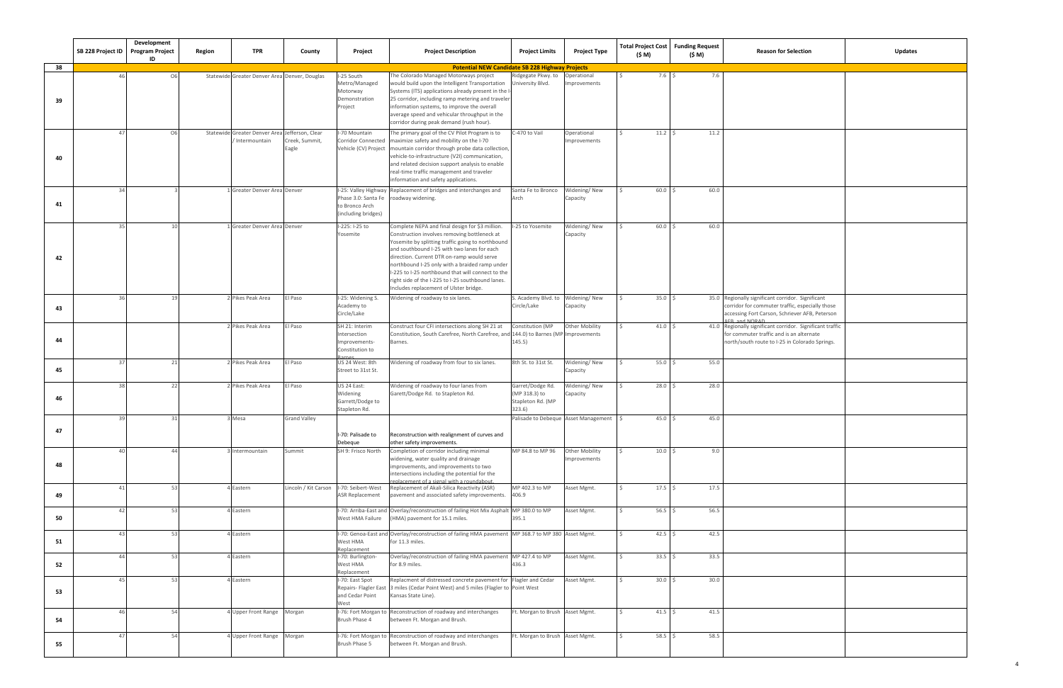|    | SB 228 Project ID Program Project | Development<br>ID | Region | <b>TPR</b>                                                      | County                                  | Project                                                                        | <b>Project Description</b>                                                                                                                                                                                                                                                                                                                                                                                                                             | <b>Project Limits</b>                                           | <b>Project Type</b>                     | (\$ M)          | Total Project Cost   Funding Request<br>(\$ M) | <b>Reason for Selection</b><br><b>Updates</b>                                                                                                                                  |
|----|-----------------------------------|-------------------|--------|-----------------------------------------------------------------|-----------------------------------------|--------------------------------------------------------------------------------|--------------------------------------------------------------------------------------------------------------------------------------------------------------------------------------------------------------------------------------------------------------------------------------------------------------------------------------------------------------------------------------------------------------------------------------------------------|-----------------------------------------------------------------|-----------------------------------------|-----------------|------------------------------------------------|--------------------------------------------------------------------------------------------------------------------------------------------------------------------------------|
| 38 |                                   |                   |        |                                                                 |                                         |                                                                                | <b>Potential NEW Candidate SB 228 Highway Projects</b>                                                                                                                                                                                                                                                                                                                                                                                                 |                                                                 |                                         |                 |                                                |                                                                                                                                                                                |
| 39 | 46                                | O <sub>6</sub>    |        | Statewide Greater Denver Area Denver, Douglas                   |                                         | I-25 South<br>Metro/Managed<br>Motorway<br>Demonstration<br>Project            | The Colorado Managed Motorways project<br>would build upon the Intelligent Transportation<br>Systems (ITS) applications already present in the I-<br>25 corridor, including ramp metering and traveler<br>information systems, to improve the overall<br>average speed and vehicular throughput in the<br>corridor during peak demand (rush hour).                                                                                                     | Ridgegate Pkwy. to<br>University Blvd.                          | Operational<br>mprovements              | 7.6%            | 7.6                                            |                                                                                                                                                                                |
| 40 | 47                                | O <sub>6</sub>    |        | Statewide Greater Denver Area Jefferson, Clear<br>Intermountain | Creek, Summit,<br>Eagle                 | I-70 Mountain                                                                  | The primary goal of the CV Pilot Program is to<br>Corridor Connected   maximize safety and mobility on the I-70<br>Vehicle (CV) Project   mountain corridor through probe data collection,<br>vehicle-to-infrastructure (V2I) communication,<br>and related decision support analysis to enable<br>real-time traffic management and traveler<br>information and safety applications.                                                                   | C-470 to Vail                                                   | Operational<br>mprovements              | $11.2 \quad$ \$ | 11.2                                           |                                                                                                                                                                                |
| 41 | 34                                |                   |        | Greater Denver Area Denver                                      |                                         | Phase 3.0: Santa Fe roadway widening.<br>to Bronco Arch<br>(including bridges) | I-25: Valley Highway Replacement of bridges and interchanges and                                                                                                                                                                                                                                                                                                                                                                                       | Santa Fe to Bronco<br>Arch                                      | Widening/New<br>Capacity                | 60.0%           | 60.0                                           |                                                                                                                                                                                |
| 42 | 35                                | 10 <sup>1</sup>   |        | Greater Denver Area Denver                                      |                                         | I-225: I-25 to<br>Yosemite                                                     | Complete NEPA and final design for \$3 million<br>Construction involves removing bottleneck at<br>Yosemite by splitting traffic going to northbound<br>and southbound I-25 with two lanes for each<br>direction. Current DTR on-ramp would serve<br>northbound I-25 only with a braided ramp under<br>I-225 to I-25 northbound that will connect to the<br>right side of the I-225 to I-25 southbound lanes.<br>Includes replacement of Ulster bridge. | I-25 to Yosemite                                                | Widening/New<br>Capacity                | $60.0$ \$       | 60.0                                           |                                                                                                                                                                                |
| 43 | 36                                | 19                |        | Pikes Peak Area                                                 | El Paso                                 | I-25: Widening S<br>Academy to<br>Circle/Lake                                  | Widening of roadway to six lanes.                                                                                                                                                                                                                                                                                                                                                                                                                      | S. Academy Blvd. to<br>Circle/Lake                              | Widening/New<br>Capacity                | 35.0%           |                                                | 35.0 Regionally significant corridor. Significant<br>corridor for commuter traffic, especially those<br>accessing Fort Carson, Schriever AFB, Peterson<br><b>AFR and NORAD</b> |
| 44 |                                   |                   |        | 2 Pikes Peak Area                                               | El Paso                                 | SH 21: Interim<br>Intersection<br>Improvements-<br>Constitution to             | Construct four CFI intersections along SH 21 at<br>Constitution, South Carefree, North Carefree, and 144.0) to Barnes (MP Improvements<br>Barnes.                                                                                                                                                                                                                                                                                                      | Constitution (MP<br>145.5)                                      | <b>Other Mobility</b>                   | 41.0%           |                                                | 41.0 Regionally significant corridor. Significant traffic<br>for commuter traffic and is an alternate<br>north/south route to I-25 in Colorado Springs.                        |
| 45 | 37                                | 21                |        | Pikes Peak Area                                                 | El Paso                                 | US 24 West: 8th<br>Street to 31st St.                                          | Widening of roadway from four to six lanes.                                                                                                                                                                                                                                                                                                                                                                                                            | 8th St. to 31st St.                                             | Widening/New<br>Capacity                | 55.0%           | 55.0                                           |                                                                                                                                                                                |
| 46 | 38                                | -22               |        | Pikes Peak Area                                                 | El Paso                                 | US 24 East:<br>Widening<br>Garrett/Dodge to<br>Stapleton Rd.                   | Widening of roadway to four lanes from<br>Garett/Dodge Rd. to Stapleton Rd.                                                                                                                                                                                                                                                                                                                                                                            | Garret/Dodge Rd.<br>(MP 318.3) to<br>Stapleton Rd. (MP<br>323.6 | Widening/New<br>Capacity                | $28.0$ \$       | 28.0                                           |                                                                                                                                                                                |
| 47 | 39                                | 31                |        | Mesa                                                            | <b>Grand Valley</b>                     | I-70: Palisade to<br>Debeque                                                   | Reconstruction with realignment of curves and<br>other safety improvements.                                                                                                                                                                                                                                                                                                                                                                            |                                                                 | Palisade to Debeque Asset Management \$ | 45.0%           | 45.0                                           |                                                                                                                                                                                |
| 48 | 40                                | 44                |        | Intermountain                                                   | Summit                                  | SH 9: Frisco North                                                             | Completion of corridor including minimal<br>widening, water quality and drainage<br>improvements, and improvements to two<br>ntersections including the potential for the<br>eplacement of a signal with a roundabout.                                                                                                                                                                                                                                 | MP 84.8 to MP 96                                                | Other Mobility<br>mprovements           | 10.0%           | 9.0                                            |                                                                                                                                                                                |
| 49 | 41                                | 53                |        | 4 Eastern                                                       | Lincoln / Kit Carson  -70: Seibert-West | <b>ASR Replacement</b>                                                         | Replacement of Akali-Silica Reactivity (ASR)<br>pavement and associated safety improvements.                                                                                                                                                                                                                                                                                                                                                           | MP 402.3 to MP<br>406.9                                         | Asset Mgmt.                             | $17.5$ \$       | 17.5                                           |                                                                                                                                                                                |
| 50 | 42                                | 53                |        | 4 Eastern                                                       |                                         | West HMA Failure                                                               | I-70: Arriba-East and Overlay/reconstruction of failing Hot Mix Asphalt MP 380.0 to MP<br>(HMA) pavement for 15.1 miles.                                                                                                                                                                                                                                                                                                                               | 395.1                                                           | Asset Mgmt.                             | $56.5$ \$       | 56.5                                           |                                                                                                                                                                                |
| 51 | 43                                | 53                |        | 4 Eastern                                                       |                                         | West HMA<br>Replacement                                                        | I-70: Genoa-East and Overlay/reconstruction of failing HMA pavement MP 368.7 to MP 380 Asset Mgmt.<br>for 11.3 miles.                                                                                                                                                                                                                                                                                                                                  |                                                                 |                                         | $42.5$ \$       | 42.5                                           |                                                                                                                                                                                |
| 52 | 44                                | 53                |        | <b>I</b> Eastern                                                |                                         | I-70: Burlington-<br>West HMA<br>Replacement                                   | Overlay/reconstruction of failing HMA pavement MP 427.4 to MP<br>for 8.9 miles.                                                                                                                                                                                                                                                                                                                                                                        | 436.3                                                           | Asset Mgmt.                             | $33.5$ \$       | 33.5                                           |                                                                                                                                                                                |
| 53 | 45                                | 53                |        | <b>I</b> Eastern                                                |                                         | I-70: East Spot<br>and Cedar Point<br>West                                     | Replacment of distressed concrete pavement for Flagler and Cedar<br>Repairs- Flagler East 3 miles (Cedar Point West) and 5 miles (Flagler to Point West<br>Kansas State Line).                                                                                                                                                                                                                                                                         |                                                                 | Asset Mgmt.                             | $30.0$ \$       | 30.0                                           |                                                                                                                                                                                |
| 54 | 46                                | 54                |        | 4 Upper Front Range Morgan                                      |                                         | Brush Phase 4                                                                  | I-76: Fort Morgan to Reconstruction of roadway and interchanges<br>between Ft. Morgan and Brush.                                                                                                                                                                                                                                                                                                                                                       | Ft. Morgan to Brush Asset Mgmt.                                 |                                         | $41.5$ \$       | 41.5                                           |                                                                                                                                                                                |
| 55 | 47                                | 54                |        | 4 Upper Front Range Morgan                                      |                                         | I-76: Fort Morgan to<br>Brush Phase 5                                          | Reconstruction of roadway and interchanges<br>between Ft. Morgan and Brush.                                                                                                                                                                                                                                                                                                                                                                            | Ft. Morgan to Brush Asset Mgmt.                                 |                                         | $58.5$ \$       | 58.5                                           |                                                                                                                                                                                |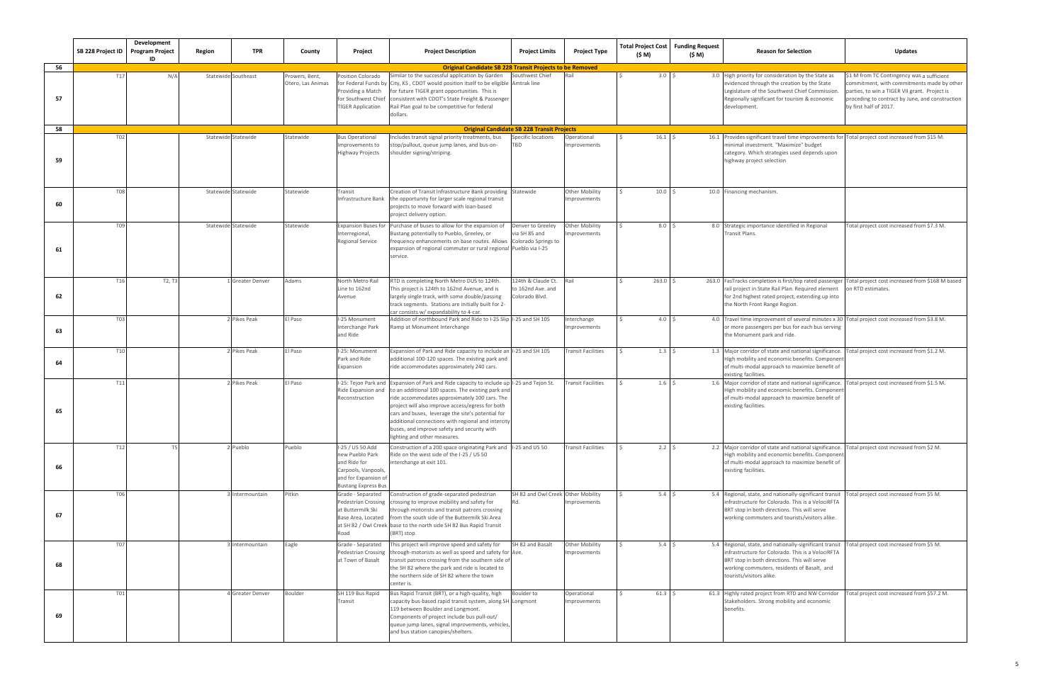|    | SB 228 Project ID | Development<br><b>Program Project</b><br>ID | Region | <b>TPR</b>          | County                              | Project                                                                                                                          | <b>Project Description</b><br><b>Project Limits</b>                                                                                                                                                                                                                                                                                                                                                                                            | <b>Project Type</b>                   | Total Project Cost<br>(\$ M) | <b>Funding Request</b><br>(\$ M) | <b>Reason for Selection</b>                                                                                                                                                                                                                       | <b>Updates</b>                                                                                                                                                                                                         |
|----|-------------------|---------------------------------------------|--------|---------------------|-------------------------------------|----------------------------------------------------------------------------------------------------------------------------------|------------------------------------------------------------------------------------------------------------------------------------------------------------------------------------------------------------------------------------------------------------------------------------------------------------------------------------------------------------------------------------------------------------------------------------------------|---------------------------------------|------------------------------|----------------------------------|---------------------------------------------------------------------------------------------------------------------------------------------------------------------------------------------------------------------------------------------------|------------------------------------------------------------------------------------------------------------------------------------------------------------------------------------------------------------------------|
| 56 |                   |                                             |        |                     |                                     |                                                                                                                                  | <b>Original Candidate SB 228 Transit Projects to be Removed</b>                                                                                                                                                                                                                                                                                                                                                                                |                                       |                              |                                  |                                                                                                                                                                                                                                                   |                                                                                                                                                                                                                        |
| 57 | T17               | N/A                                         |        | Statewide Southeast | Prowers, Bent,<br>Otero, Las Animas | Position Colorado<br>for Federal Funds by<br>Providing a Match<br>for Southwest Chief<br><b>TIGER Application</b>                | Similar to the successful application by Garden<br>Southwest Chief<br>City, KS, CDOT would position itself to be eligible Amtrak line<br>for future TIGER grant opportunities. This is<br>consistent with CDOT's State Freight & Passenger<br>Rail Plan goal to be competitive for federal<br>dollars.                                                                                                                                         | Rail                                  | 3.0 <sup>5</sup>             |                                  | 3.0 High priority for consideration by the State as<br>evidenced through the creation by the State<br>Legislature of the Southwest Chief Commission.<br>Regionally significant for tourism & economic<br>development.                             | \$1 M from TC Contingency was a sufficient<br>commitment, with commitments made by other<br>parties, to win a TIGER VII grant. Project is<br>proceding to contract by June, and construction<br>by first half of 2017. |
| 58 |                   |                                             |        |                     |                                     |                                                                                                                                  | <b>Original Candidate SB 228 Transit Projects</b>                                                                                                                                                                                                                                                                                                                                                                                              |                                       |                              |                                  |                                                                                                                                                                                                                                                   |                                                                                                                                                                                                                        |
| 59 | <b>T02</b>        |                                             |        | Statewide Statewide | Statewide                           | <b>Bus Operational</b><br>Improvements to<br><b>Highway Projects</b>                                                             | Includes transit signal priority treatments, bus<br>Specific locations<br>stop/pullout, queue jump lanes, and bus-on-<br><b>BD</b><br>shoulder signing/striping.                                                                                                                                                                                                                                                                               | Operational<br>mprovements            | $16.1 \frac{1}{5}$           |                                  | 16.1 Provides significant travel time improvements for Total project cost increased from \$15 M.<br>minimal investment. "Maximize" budget<br>category. Which strategies used depends upon<br>highway project selection                            |                                                                                                                                                                                                                        |
|    |                   |                                             |        |                     |                                     |                                                                                                                                  |                                                                                                                                                                                                                                                                                                                                                                                                                                                |                                       |                              |                                  |                                                                                                                                                                                                                                                   |                                                                                                                                                                                                                        |
| 60 | <b>T08</b>        |                                             |        | Statewide Statewide | Statewide                           | Transit<br>Infrastructure Bank                                                                                                   | Creation of Transit Infrastructure Bank providing Statewide<br>the opportunity for larger scale regional transit<br>projects to move forward with loan-based<br>project delivery option.                                                                                                                                                                                                                                                       | <b>Other Mobility</b><br>Improvements | 10.0%                        |                                  | 10.0 Financing mechanism                                                                                                                                                                                                                          |                                                                                                                                                                                                                        |
| 61 | T09               |                                             |        | Statewide Statewide | Statewide                           | <b>Expansion Buses for</b><br>Interregional,<br><b>Regional Service</b>                                                          | Purchase of buses to allow for the expansion of<br>Denver to Greeley<br>Bustang potentially to Pueblo, Greeley, or<br>via SH 85 and<br>frequency enhancements on base routes. Allows Colorado Springs to<br>expansion of regional commuter or rural regional Pueblo via I-25<br>service.                                                                                                                                                       | Other Mobility<br>mprovements         | 8.0 <sup>5</sup>             |                                  | 8.0 Strategic importance identified in Regional<br>Fransit Plans.                                                                                                                                                                                 | Total project cost increased from \$7.3 M.                                                                                                                                                                             |
| 62 | T16               | T2, T3                                      |        | Greater Denver      | Adams                               | North Metro Rail<br>Line to 162nd<br>Avenue                                                                                      | RTD is completing North Metro DUS to 124th.<br>124th & Claude Ct.<br>to 162nd Ave. and<br>This project is 124th to 162nd Avenue, and is<br>largely single track, with some double/passing<br>Colorado Blvd.<br>track segments. Stations are initially built for 2-<br>car consists w/ expandability to 4-car.                                                                                                                                  |                                       | $263.0$ \$                   |                                  | 263.0 FasTracks completion is first/top rated passenger Total project cost increased from \$168 M based<br>rail project in State Rail Plan. Required element<br>for 2nd highest rated project, extending up into<br>the North Front Range Region. | on RTD estimates.                                                                                                                                                                                                      |
| 63 | T03               |                                             |        | Pikes Peak          | El Paso                             | I-25 Monument<br>Interchange Park<br>and Ride                                                                                    | Addition of northbound Park and Ride to I-25 Slip I-25 and SH 105<br>Ramp at Monument Interchange                                                                                                                                                                                                                                                                                                                                              | nterchange<br>mprovements             | 4.0 <sup>5</sup>             |                                  | 4.0 Travel time improvement of several minutes x 30 Total project cost increased from \$3.8 M.<br>or more passengers per bus for each bus serving<br>the Monument park and ride.                                                                  |                                                                                                                                                                                                                        |
| 64 | T10               |                                             |        | Pikes Peak          | El Paso                             | I-25: Monument<br>Park and Ride<br>Expansion                                                                                     | Expansion of Park and Ride capacity to include an I-25 and SH 105<br>additional 100-120 spaces. The existing park and<br>ride accommodates approximately 240 cars.                                                                                                                                                                                                                                                                             | <b>Transit Facilities</b>             | 1.3 <sup>5</sup>             |                                  | 1.3 Major corridor of state and national significance. Total project cost increased from \$1.2 M.<br>High mobility and economic benefits. Component<br>of multi-modal approach to maximize benefit of<br>existing facilities.                     |                                                                                                                                                                                                                        |
| 65 | T11               |                                             |        | Pikes Peak          | El Paso                             | Ride Expansion and<br>Reconstruction                                                                                             | I-25: Tejon Park and Expansion of Park and Ride capacity to include up I-25 and Tejon St.<br>to an additional 100 spaces. The existing park and<br>ride accommodates approximately 100 cars. The<br>project will also improve access/egress for both<br>cars and buses, leverage the site's potential for<br>additional connections with regional and intercity<br>buses, and improve safety and security with<br>lighting and other measures. | <b>Transit Facilities</b>             | 1.6 <sup>5</sup>             |                                  | 1.6 Major corridor of state and national significance.<br>High mobility and economic benefits. Component<br>of multi-modal approach to maximize benefit of<br>existing facilities.                                                                | otal project cost increased from \$1.5 M.                                                                                                                                                                              |
| 66 | T12               |                                             |        | Pueblo              | Pueblo                              | I-25 / US 50 Add<br>new Pueblo Park<br>and Ride for<br>Carpools, Vanpools,<br>and for Expansion of<br><b>Bustang Express Bus</b> | Construction of a 200 space originating Park and  -25 and US 50<br>Ride on the west side of the I-25 / US 50<br>interchange at exit 101.                                                                                                                                                                                                                                                                                                       | <b>Transit Facilities</b>             | $2.2 \quad$                  |                                  | 2.2 Major corridor of state and national significance. Total project cost increased from \$2 M.<br>High mobility and economic benefits. Component<br>of multi-modal approach to maximize benefit of<br>existing facilities.                       |                                                                                                                                                                                                                        |
| 67 | <b>T06</b>        |                                             |        | Intermountain       | Pitkin                              | Grade - Separated<br>Pedestrian Crossing<br>at Buttermilk Ski<br>Base Area, Located<br>Road                                      | Construction of grade-separated pedestrian<br>SH 82 and Owl Creek Other Mobility<br>crossing to improve mobility and safety for<br>Rd.<br>through motorists and transit patrons crossing<br>from the south side of the Buttermilk Ski Area<br>at SH 82 / Owl Creek base to the north side SH 82 Bus Rapid Transit<br>(BRT) stop.                                                                                                               | Improvements                          | $5.4 \quad $5$               |                                  | 5.4 Regional, state, and nationally-significant transit<br>infrastructure for Colorado. This is a VelociRFTA<br>BRT stop in both directions. This will serve<br>working commuters and tourists/visitors alike.                                    | Total project cost increased from \$5 M.                                                                                                                                                                               |
| 68 | <b>T07</b>        |                                             |        | Intermountain       | Eagle                               | Grade - Separated<br><b>Pedestrian Crossing</b><br>at Town of Basalt                                                             | This project will improve speed and safety for<br>SH 82 and Basalt<br>through-motorists as well as speed and safety for Ave.<br>transit patrons crossing from the southern side of<br>the SH 82 where the park and ride is located to<br>the northern side of SH 82 where the town<br>center is.                                                                                                                                               | <b>Other Mobility</b><br>Improvements | $5.4 \quad $5$               |                                  | 5.4 Regional, state, and nationally-significant transit<br>infrastructure for Colorado. This is a VelociRFTA<br>BRT stop in both directions. This will serve<br>working commuters, residents of Basalt, and<br>tourists/visitors alike.           | Total project cost increased from \$5 M.                                                                                                                                                                               |
| 69 | <b>T01</b>        |                                             |        | 4 Greater Denver    | Boulder                             | SH 119 Bus Rapid<br>Transit                                                                                                      | Bus Rapid Transit (BRT), or a high-quality, high<br>Boulder to<br>capacity bus-based rapid transit system, along SH Longmont<br>119 between Boulder and Longmont.<br>Components of project include bus pull-out/<br>queue jump lanes, signal improvements, vehicles,<br>and bus station canopies/shelters.                                                                                                                                     | Operational<br>Improvements           | $61.3$ \$                    |                                  | 61.3 Highly rated project from RTD and NW Corridor<br>Stakeholders. Strong mobility and economic<br>benefits.                                                                                                                                     | Total project cost increased from \$57.2 M.                                                                                                                                                                            |